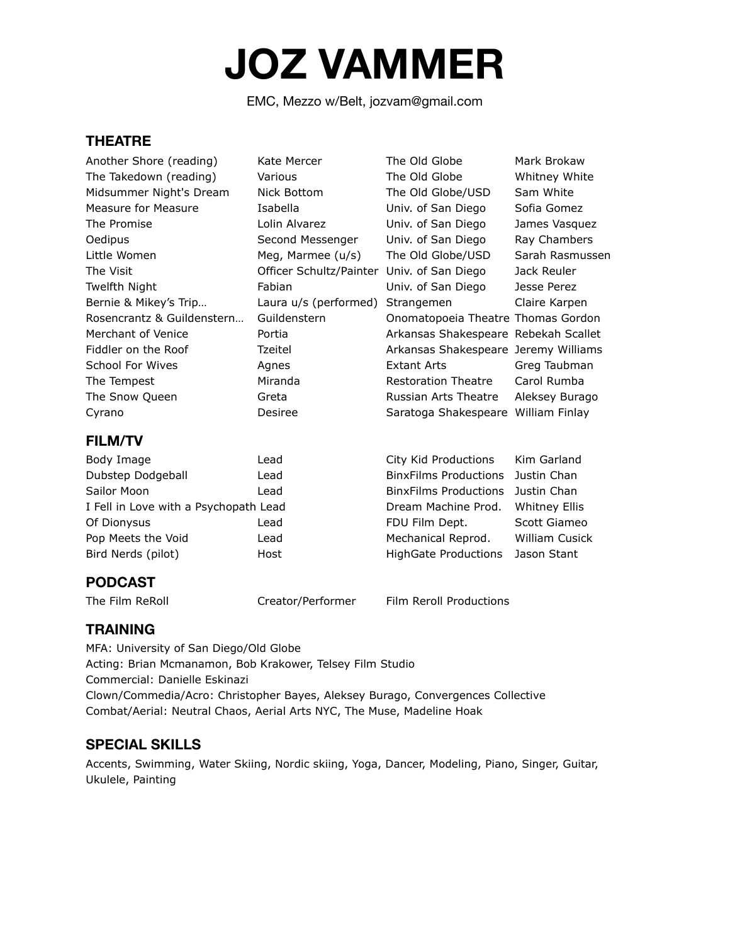# **JOZ VAMMER**

EMC, Mezzo w/Belt, jozvam@gmail.com

#### **THEATRE**

| <b>FILM/TV</b>             |                         |                                      |                 |
|----------------------------|-------------------------|--------------------------------------|-----------------|
| Cyrano                     | Desiree                 | Saratoga Shakespeare William Finlay  |                 |
| The Snow Queen             | Greta                   | Russian Arts Theatre                 | Aleksey Burago  |
| The Tempest                | Miranda                 | <b>Restoration Theatre</b>           | Carol Rumba     |
| School For Wives           | Agnes                   | Extant Arts                          | Greg Taubman    |
| Fiddler on the Roof        | Tzeitel                 | Arkansas Shakespeare Jeremy Williams |                 |
| Merchant of Venice         | Portia                  | Arkansas Shakespeare Rebekah Scallet |                 |
| Rosencrantz & Guildenstern | Guildenstern            | Onomatopoeia Theatre Thomas Gordon   |                 |
| Bernie & Mikey's Trip      | Laura u/s (performed)   | Strangemen                           | Claire Karpen   |
| Twelfth Night              | Fabian                  | Univ. of San Diego                   | Jesse Perez     |
| The Visit                  | Officer Schultz/Painter | Univ. of San Diego                   | Jack Reuler     |
| Little Women               | Meg, Marmee (u/s)       | The Old Globe/USD                    | Sarah Rasmussen |
| Oedipus                    | Second Messenger        | Univ. of San Diego                   | Ray Chambers    |
| The Promise                | Lolin Alvarez           | Univ. of San Diego                   | James Vasquez   |
| Measure for Measure        | Isabella                | Univ. of San Diego                   | Sofia Gomez     |
| Midsummer Night's Dream    | Nick Bottom             | The Old Globe/USD                    | Sam White       |
| The Takedown (reading)     | Various                 | The Old Globe                        | Whitney White   |
| Another Shore (reading)    | Kate Mercer             | The Old Globe                        | Mark Brokaw     |
|                            |                         |                                      |                 |

| Body Image                            | Lead | City Kid Productions Kim Garland  |                       |
|---------------------------------------|------|-----------------------------------|-----------------------|
| Dubstep Dodgeball                     | Lead | BinxFilms Productions Justin Chan |                       |
| Sailor Moon                           | Lead | BinxFilms Productions Justin Chan |                       |
| I Fell in Love with a Psychopath Lead |      | Dream Machine Prod. Whitney Ellis |                       |
| Of Dionysus                           | Lead | FDU Film Dept.                    | Scott Giameo          |
| Pop Meets the Void                    | Lead | Mechanical Reprod.                | <b>William Cusick</b> |
| Bird Nerds (pilot)                    | Host | HighGate Productions Jason Stant  |                       |

## **PODCAST**

The Film ReRoll **Creator/Performer** Film Reroll Productions

**TRAINING**

MFA: University of San Diego/Old Globe Acting: Brian Mcmanamon, Bob Krakower, Telsey Film Studio Commercial: Danielle Eskinazi Clown/Commedia/Acro: Christopher Bayes, Aleksey Burago, Convergences Collective Combat/Aerial: Neutral Chaos, Aerial Arts NYC, The Muse, Madeline Hoak

### **SPECIAL SKILLS**

Accents, Swimming, Water Skiing, Nordic skiing, Yoga, Dancer, Modeling, Piano, Singer, Guitar, Ukulele, Painting